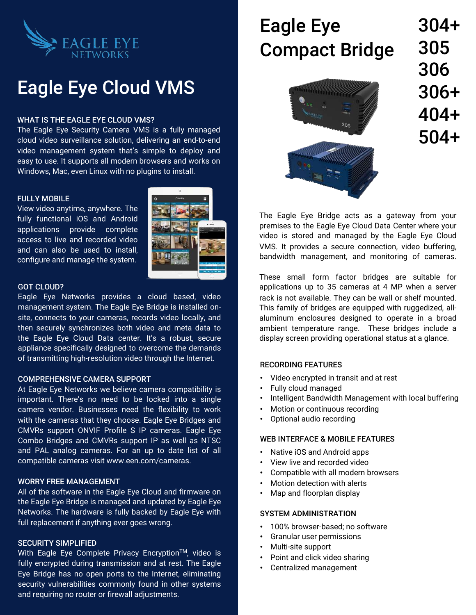

## Eagle Eye Cloud VMS

#### WHAT IS THE EAGLE EYE CLOUD VMS?

The Eagle Eye Security Camera VMS is a fully managed cloud video surveillance solution, delivering an end-to-end video management system that's simple to deploy and easy to use. It supports all modern browsers and works on Windows, Mac, even Linux with no plugins to install.

#### FULLY MOBILE

View video anytime, anywhere. The fully functional iOS and Android applications provide complete access to live and recorded video and can also be used to install, configure and manage the system.



#### GOT CLOUD?

Eagle Eye Networks provides a cloud based, video management system. The Eagle Eye Bridge is installed onsite, connects to your cameras, records video locally, and then securely synchronizes both video and meta data to the Eagle Eye Cloud Data center. It's a robust, secure appliance specifically designed to overcome the demands of transmitting high-resolution video through the Internet.

#### COMPREHENSIVE CAMERA SUPPORT

At Eagle Eye Networks we believe camera compatibility is important. There's no need to be locked into a single camera vendor. Businesses need the flexibility to work with the cameras that they choose. Eagle Eye Bridges and CMVRs support ONVIF Profile S IP cameras. Eagle Eye Combo Bridges and CMVRs support IP as well as NTSC and PAL analog cameras. For an up to date list of all compatible cameras visit www.een.com/cameras.

#### WORRY FREE MANAGEMENT

All of the software in the Eagle Eye Cloud and firmware on the Eagle Eye Bridge is managed and updated by Eagle Eye Networks. The hardware is fully backed by Eagle Eye with full replacement if anything ever goes wrong.

#### SECURITY SIMPLIFIED

With Eagle Eye Complete Privacy Encryption™, video is fully encrypted during transmission and at rest. The Eagle Eye Bridge has no open ports to the Internet, eliminating security vulnerabilities commonly found in other systems and requiring no router or firewall adjustments.

# Eagle Eye Compact Bridge



304+ 305 306 306+ 404+ 504+

The Eagle Eye Bridge acts as a gateway from your premises to the Eagle Eye Cloud Data Center where your video is stored and managed by the Eagle Eye Cloud VMS. It provides a secure connection, video buffering, bandwidth management, and monitoring of cameras.

These small form factor bridges are suitable for applications up to 35 cameras at 4 MP when a server rack is not available. They can be wall or shelf mounted. This family of bridges are equipped with ruggedized, allaluminum enclosures designed to operate in a broad ambient temperature range. These bridges include a display screen providing operational status at a glance.

#### RECORDING FEATURES

- Video encrypted in transit and at rest
- Fully cloud managed
- Intelligent Bandwidth Management with local buffering
- Motion or continuous recording
- Optional audio recording

#### WEB INTERFACE & MOBILE FEATURES

- Native iOS and Android apps
- View live and recorded video
- Compatible with all modern browsers
- Motion detection with alerts
- Map and floorplan display

#### SYSTEM ADMINISTRATION

- 100% browser-based; no software
- Granular user permissions
- Multi-site support
- Point and click video sharing
- Centralized management